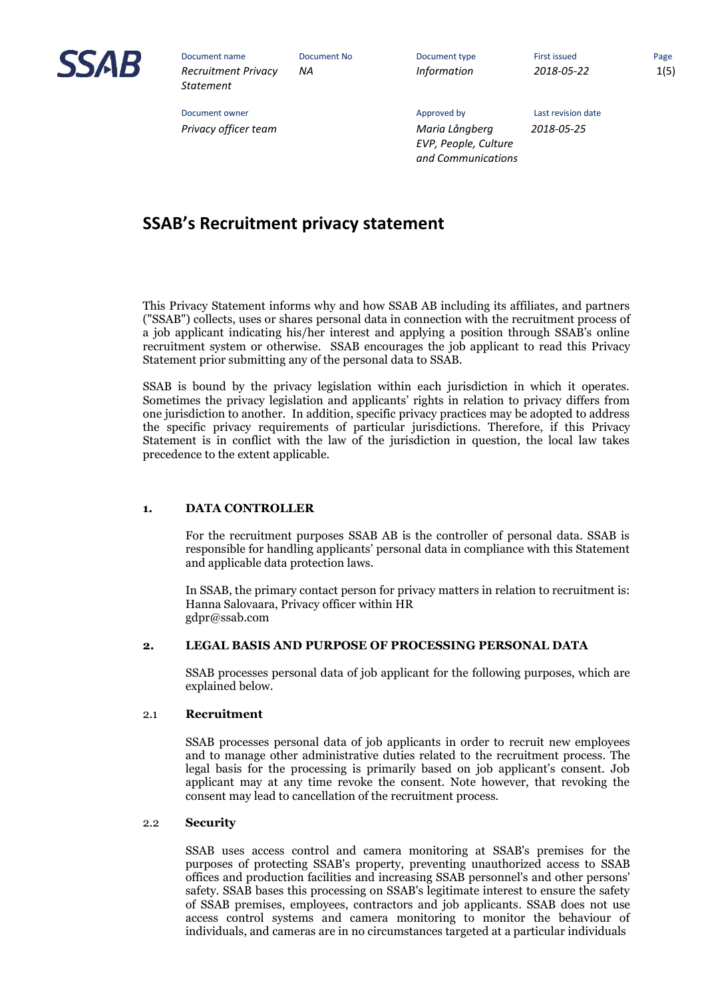

Document owner and the Community of the Approved by Last revision date

*NA Information 2018-05-22* 1(5)

*Privacy officer team Maria Långberg 2018-05-25 EVP, People, Culture and Communications* 

**SSAB's Recruitment privacy statement**

This Privacy Statement informs why and how SSAB AB including its affiliates, and partners ("SSAB") collects, uses or shares personal data in connection with the recruitment process of a job applicant indicating his/her interest and applying a position through SSAB's online recruitment system or otherwise. SSAB encourages the job applicant to read this Privacy Statement prior submitting any of the personal data to SSAB.

SSAB is bound by the privacy legislation within each jurisdiction in which it operates. Sometimes the privacy legislation and applicants' rights in relation to privacy differs from one jurisdiction to another. In addition, specific privacy practices may be adopted to address the specific privacy requirements of particular jurisdictions. Therefore, if this Privacy Statement is in conflict with the law of the jurisdiction in question, the local law takes precedence to the extent applicable.

## **1. DATA CONTROLLER**

For the recruitment purposes SSAB AB is the controller of personal data. SSAB is responsible for handling applicants' personal data in compliance with this Statement and applicable data protection laws.

In SSAB, the primary contact person for privacy matters in relation to recruitment is: Hanna Salovaara, Privacy officer within HR [gdpr@ssab.com](mailto:gdpr@ssab.com)

#### **2. LEGAL BASIS AND PURPOSE OF PROCESSING PERSONAL DATA**

SSAB processes personal data of job applicant for the following purposes, which are explained below.

#### 2.1 **Recruitment**

SSAB processes personal data of job applicants in order to recruit new employees and to manage other administrative duties related to the recruitment process. The legal basis for the processing is primarily based on job applicant's consent. Job applicant may at any time revoke the consent. Note however, that revoking the consent may lead to cancellation of the recruitment process.

#### 2.2 **Security**

SSAB uses access control and camera monitoring at SSAB's premises for the purposes of protecting SSAB's property, preventing unauthorized access to SSAB offices and production facilities and increasing SSAB personnel's and other persons' safety. SSAB bases this processing on SSAB's legitimate interest to ensure the safety of SSAB premises, employees, contractors and job applicants. SSAB does not use access control systems and camera monitoring to monitor the behaviour of individuals, and cameras are in no circumstances targeted at a particular individuals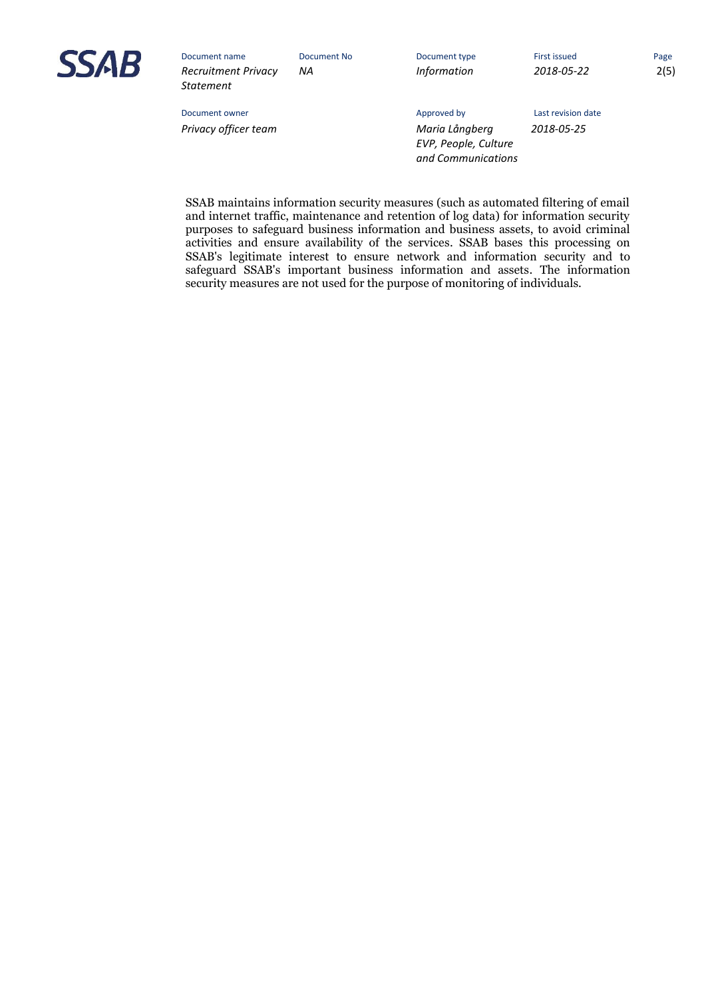

*NA Information 2018-05-22* 2(5)

Document owner and the Community of the Approved by Last revision date *Privacy officer team Maria Långberg 2018-05-25 EVP, People, Culture and Communications* 

SSAB maintains information security measures (such as automated filtering of email and internet traffic, maintenance and retention of log data) for information security purposes to safeguard business information and business assets, to avoid criminal activities and ensure availability of the services. SSAB bases this processing on SSAB's legitimate interest to ensure network and information security and to safeguard SSAB's important business information and assets. The information security measures are not used for the purpose of monitoring of individuals.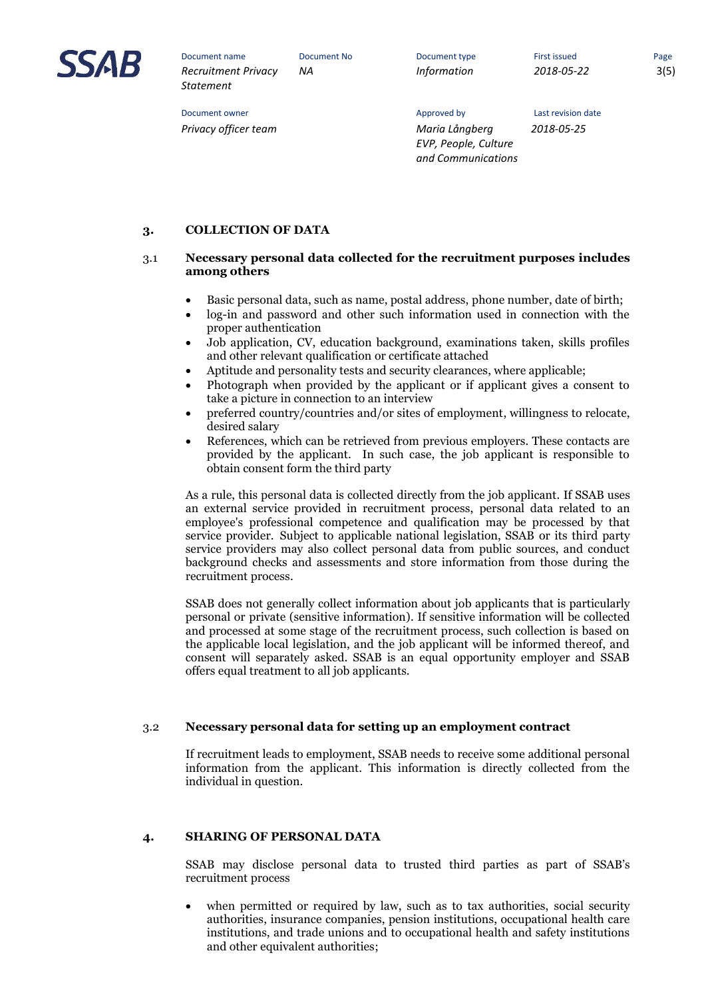

*NA Information 2018-05-22* 3(5)

Document owner and the Community of the Approved by Last revision date *Privacy officer team Maria Långberg 2018-05-25 EVP, People, Culture and Communications* 

**3. COLLECTION OF DATA**

# 3.1 **Necessary personal data collected for the recruitment purposes includes among others**

- Basic personal data, such as name, postal address, phone number, date of birth;
- log-in and password and other such information used in connection with the proper authentication
- Job application, CV, education background, examinations taken, skills profiles and other relevant qualification or certificate attached
- Aptitude and personality tests and security clearances, where applicable;
- Photograph when provided by the applicant or if applicant gives a consent to take a picture in connection to an interview
- preferred country/countries and/or sites of employment, willingness to relocate, desired salary
- References, which can be retrieved from previous employers. These contacts are provided by the applicant. In such case, the job applicant is responsible to obtain consent form the third party

As a rule, this personal data is collected directly from the job applicant. If SSAB uses an external service provided in recruitment process, personal data related to an employee's professional competence and qualification may be processed by that service provider. Subject to applicable national legislation, SSAB or its third party service providers may also collect personal data from public sources, and conduct background checks and assessments and store information from those during the recruitment process.

SSAB does not generally collect information about job applicants that is particularly personal or private (sensitive information). If sensitive information will be collected and processed at some stage of the recruitment process, such collection is based on the applicable local legislation, and the job applicant will be informed thereof, and consent will separately asked. SSAB is an equal opportunity employer and SSAB offers equal treatment to all job applicants.

## 3.2 **Necessary personal data for setting up an employment contract**

If recruitment leads to employment, SSAB needs to receive some additional personal information from the applicant. This information is directly collected from the individual in question.

## **4. SHARING OF PERSONAL DATA**

SSAB may disclose personal data to trusted third parties as part of SSAB's recruitment process

 when permitted or required by law, such as to tax authorities, social security authorities, insurance companies, pension institutions, occupational health care institutions, and trade unions and to occupational health and safety institutions and other equivalent authorities;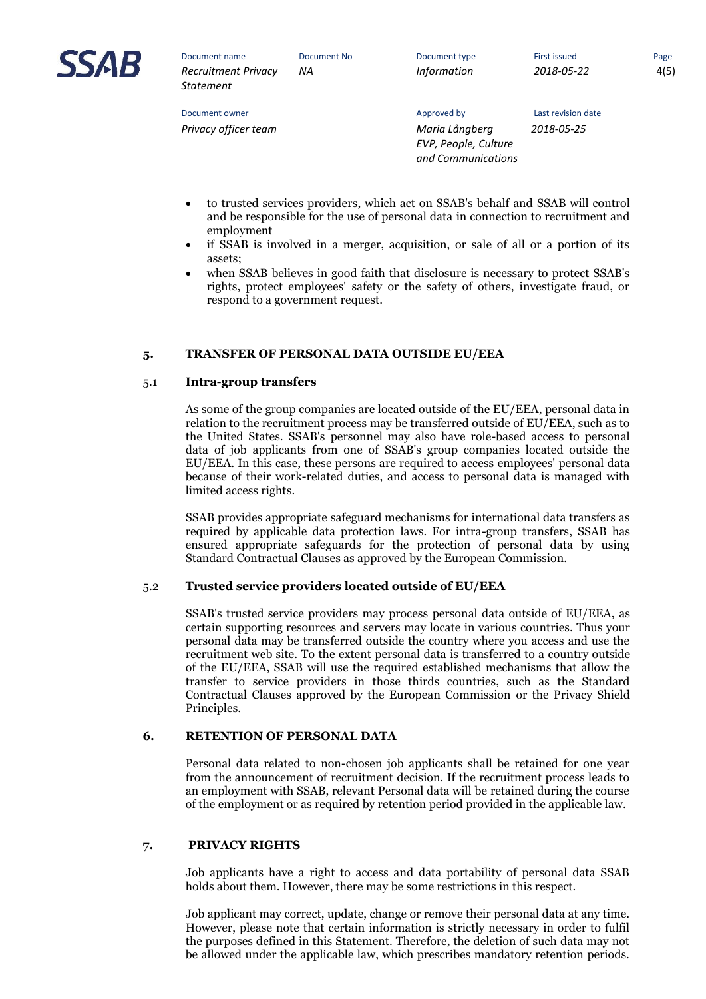

*NA Information 2018-05-22* 4(5)

Document owner and the Community of the Approved by Last revision date

*Privacy officer team Maria Långberg 2018-05-25 EVP, People, Culture and Communications* 

- to trusted services providers, which act on SSAB's behalf and SSAB will control and be responsible for the use of personal data in connection to recruitment and employment
- if SSAB is involved in a merger, acquisition, or sale of all or a portion of its assets;
- when SSAB believes in good faith that disclosure is necessary to protect SSAB's rights, protect employees' safety or the safety of others, investigate fraud, or respond to a government request.

# **5. TRANSFER OF PERSONAL DATA OUTSIDE EU/EEA**

## 5.1 **Intra-group transfers**

As some of the group companies are located outside of the EU/EEA, personal data in relation to the recruitment process may be transferred outside of EU/EEA, such as to the United States. SSAB's personnel may also have role-based access to personal data of job applicants from one of SSAB's group companies located outside the EU/EEA. In this case, these persons are required to access employees' personal data because of their work-related duties, and access to personal data is managed with limited access rights.

SSAB provides appropriate safeguard mechanisms for international data transfers as required by applicable data protection laws. For intra-group transfers, SSAB has ensured appropriate safeguards for the protection of personal data by using Standard Contractual Clauses as approved by the European Commission.

## 5.2 **Trusted service providers located outside of EU/EEA**

SSAB's trusted service providers may process personal data outside of EU/EEA, as certain supporting resources and servers may locate in various countries. Thus your personal data may be transferred outside the country where you access and use the recruitment web site. To the extent personal data is transferred to a country outside of the EU/EEA, SSAB will use the required established mechanisms that allow the transfer to service providers in those thirds countries, such as the Standard Contractual Clauses approved by the European Commission or the Privacy Shield Principles.

## **6. RETENTION OF PERSONAL DATA**

Personal data related to non-chosen job applicants shall be retained for one year from the announcement of recruitment decision. If the recruitment process leads to an employment with SSAB, relevant Personal data will be retained during the course of the employment or as required by retention period provided in the applicable law.

# **7. PRIVACY RIGHTS**

Job applicants have a right to access and data portability of personal data SSAB holds about them. However, there may be some restrictions in this respect.

Job applicant may correct, update, change or remove their personal data at any time. However, please note that certain information is strictly necessary in order to fulfil the purposes defined in this Statement. Therefore, the deletion of such data may not be allowed under the applicable law, which prescribes mandatory retention periods.